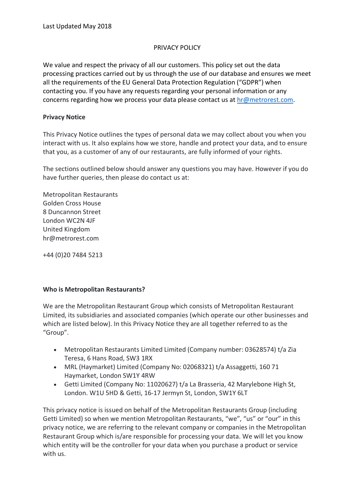#### PRIVACY POLICY

We value and respect the privacy of all our customers. This policy set out the data processing practices carried out by us through the use of our database and ensures we meet all the requirements of the EU General Data Protection Regulation ("GDPR") when contacting you. If you have any requests regarding your personal information or any concerns regarding how we process your data please contact us at  $hr@$  metrorest.com.

#### **Privacy Notice**

This Privacy Notice outlines the types of personal data we may collect about you when you interact with us. It also explains how we store, handle and protect your data, and to ensure that you, as a customer of any of our restaurants, are fully informed of your rights.

The sections outlined below should answer any questions you may have. However if you do have further queries, then please do contact us at:

Metropolitan Restaurants Golden Cross House 8 Duncannon Street London WC2N 4JF United Kingdom hr@metrorest.com

+44 (0)20 7484 5213

#### **Who is Metropolitan Restaurants?**

We are the Metropolitan Restaurant Group which consists of Metropolitan Restaurant Limited, its subsidiaries and associated companies (which operate our other businesses and which are listed below). In this Privacy Notice they are all together referred to as the "Group".

- Metropolitan Restaurants Limited Limited (Company number: 03628574) t/a Zia Teresa, 6 Hans Road, SW3 1RX
- MRL (Haymarket) Limited (Company No: 02068321) t/a Assaggetti, 160 71 Haymarket, London SW1Y 4RW
- Getti Limited (Company No: 11020627) t/a La Brasseria, 42 Marylebone High St, London. W1U 5HD & Getti, 16-17 Jermyn St, London, SW1Y 6LT

This privacy notice is issued on behalf of the Metropolitan Restaurants Group (including Getti Limited) so when we mention Metropolitan Restaurants, "we", "us" or "our" in this privacy notice, we are referring to the relevant company or companies in the Metropolitan Restaurant Group which is/are responsible for processing your data. We will let you know which entity will be the controller for your data when you purchase a product or service with us.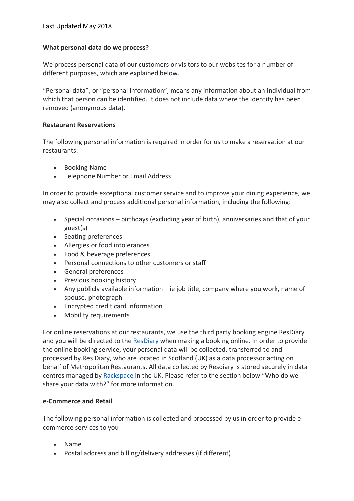### **What personal data do we process?**

We process personal data of our customers or visitors to our websites for a number of different purposes, which are explained below.

"Personal data", or "personal information", means any information about an individual from which that person can be identified. It does not include data where the identity has been removed (anonymous data).

### **Restaurant Reservations**

The following personal information is required in order for us to make a reservation at our restaurants:

- Booking Name
- Telephone Number or Email Address

In order to provide exceptional customer service and to improve your dining experience, we may also collect and process additional personal information, including the following:

- Special occasions birthdays (excluding year of birth), anniversaries and that of your guest(s)
- Seating preferences
- Allergies or food intolerances
- Food & beverage preferences
- Personal connections to other customers or staff
- General preferences
- Previous booking history
- Any publicly available information ie job title, company where you work, name of spouse, photograph
- Encrypted credit card information
- Mobility requirements

For online reservations at our restaurants, we use the third party booking engine ResDiary and you will be directed to the ResDiary when making a booking online. In order to provide the online booking service, your personal data will be collected, transferred to and processed by Res Diary, who are located in Scotland (UK) as a data processor acting on behalf of Metropolitan Restaurants. All data collected by Resdiary is stored securely in data centres managed by Rackspace in the UK. Please refer to the section below "Who do we share your data with?" for more information.

# **e-Commerce and Retail**

The following personal information is collected and processed by us in order to provide ecommerce services to you

- Name
- Postal address and billing/delivery addresses (if different)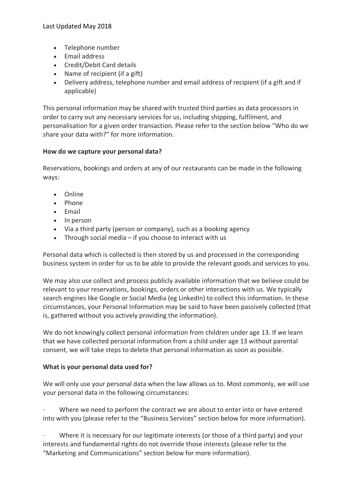- Telephone number
- Email address
- Credit/Debit Card details
- Name of recipient (if a gift)
- Delivery address, telephone number and email address of recipient (if a gift and if applicable)

This personal information may be shared with trusted third parties as data processors in order to carry out any necessary services for us, including shipping, fulfilment, and personalisation for a given order transaction. Please refer to the section below "Who do we share your data with?" for more information.

### **How do we capture your personal data?**

Reservations, bookings and orders at any of our restaurants can be made in the following ways:

- Online
- Phone
- Email
- In person
- Via a third party (person or company), such as a booking agency
- Through social media if you choose to interact with us

Personal data which is collected is then stored by us and processed in the corresponding business system in order for us to be able to provide the relevant goods and services to you.

We may also use collect and process publicly available information that we believe could be relevant to your reservations, bookings, orders or other interactions with us. We typically search engines like Google or Social Media (eg LinkedIn) to collect this information. In these circumstances, your Personal Information may be said to have been passively collected (that is, gathered without you actively providing the information).

We do not knowingly collect personal information from children under age 13. If we learn that we have collected personal information from a child under age 13 without parental consent, we will take steps to delete that personal information as soon as possible.

### **What is your personal data used for?**

We will only use your personal data when the law allows us to. Most commonly, we will use your personal data in the following circumstances:

Where we need to perform the contract we are about to enter into or have entered into with you (please refer to the "Business Services" section below for more information).

· Where it is necessary for our legitimate interests (or those of a third party) and your interests and fundamental rights do not override those interests (please refer to the "Marketing and Communications" section below for more information).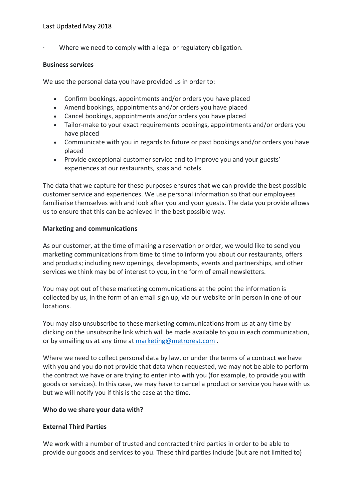Where we need to comply with a legal or regulatory obligation.

#### **Business services**

We use the personal data you have provided us in order to:

- Confirm bookings, appointments and/or orders you have placed
- Amend bookings, appointments and/or orders you have placed
- Cancel bookings, appointments and/or orders you have placed
- Tailor-make to your exact requirements bookings, appointments and/or orders you have placed
- Communicate with you in regards to future or past bookings and/or orders you have placed
- Provide exceptional customer service and to improve you and your guests' experiences at our restaurants, spas and hotels.

The data that we capture for these purposes ensures that we can provide the best possible customer service and experiences. We use personal information so that our employees familiarise themselves with and look after you and your guests. The data you provide allows us to ensure that this can be achieved in the best possible way.

### **Marketing and communications**

As our customer, at the time of making a reservation or order, we would like to send you marketing communications from time to time to inform you about our restaurants, offers and products; including new openings, developments, events and partnerships, and other services we think may be of interest to you, in the form of email newsletters.

You may opt out of these marketing communications at the point the information is collected by us, in the form of an email sign up, via our website or in person in one of our locations.

You may also unsubscribe to these marketing communications from us at any time by clicking on the unsubscribe link which will be made available to you in each communication, or by emailing us at any time at marketing@metrorest.com .

Where we need to collect personal data by law, or under the terms of a contract we have with you and you do not provide that data when requested, we may not be able to perform the contract we have or are trying to enter into with you (for example, to provide you with goods or services). In this case, we may have to cancel a product or service you have with us but we will notify you if this is the case at the time.

### **Who do we share your data with?**

### **External Third Parties**

We work with a number of trusted and contracted third parties in order to be able to provide our goods and services to you. These third parties include (but are not limited to)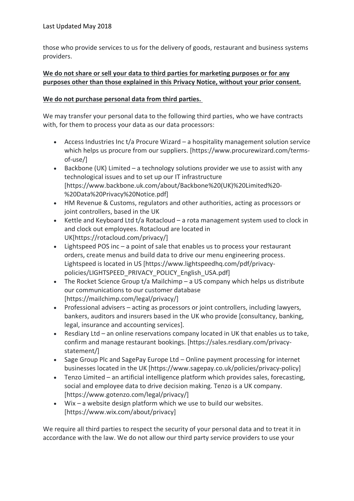those who provide services to us for the delivery of goods, restaurant and business systems providers.

# **We do not share or sell your data to third parties for marketing purposes or for any purposes other than those explained in this Privacy Notice, without your prior consent.**

### **We do not purchase personal data from third parties.**

We may transfer your personal data to the following third parties, who we have contracts with, for them to process your data as our data processors:

- Access Industries Inc t/a Procure Wizard a hospitality management solution service which helps us procure from our suppliers. [https://www.procurewizard.com/termsof-use/]
- Backbone (UK) Limited a technology solutions provider we use to assist with any technological issues and to set up our IT infrastructure [https://www.backbone.uk.com/about/Backbone%20(UK)%20Limited%20- %20Data%20Privacy%20Notice.pdf]
- HM Revenue & Customs, regulators and other authorities, acting as processors or joint controllers, based in the UK
- Kettle and Keyboard Ltd t/a Rotacloud a rota management system used to clock in and clock out employees. Rotacloud are located in UK[https://rotacloud.com/privacy/]
- Lightspeed POS inc a point of sale that enables us to process your restaurant orders, create menus and build data to drive our menu engineering process. Lightspeed is located in US [https://www.lightspeedhq.com/pdf/privacypolicies/LIGHTSPEED\_PRIVACY\_POLICY\_English\_USA.pdf]
- The Rocket Science Group t/a Mailchimp a US company which helps us distribute our communications to our customer database [https://mailchimp.com/legal/privacy/]
- Professional advisers acting as processors or joint controllers, including lawyers, bankers, auditors and insurers based in the UK who provide [consultancy, banking, legal, insurance and accounting services].
- Resdiary Ltd an online reservations company located in UK that enables us to take, confirm and manage restaurant bookings. [https://sales.resdiary.com/privacystatement/]
- Sage Group Plc and SagePay Europe Ltd Online payment processing for internet businesses located in the UK [https://www.sagepay.co.uk/policies/privacy-policy]
- Tenzo Limited an artificial intelligence platform which provides sales, forecasting, social and employee data to drive decision making. Tenzo is a UK company. [https://www.gotenzo.com/legal/privacy/]
- Wix a website design platform which we use to build our websites. [https://www.wix.com/about/privacy]

We require all third parties to respect the security of your personal data and to treat it in accordance with the law. We do not allow our third party service providers to use your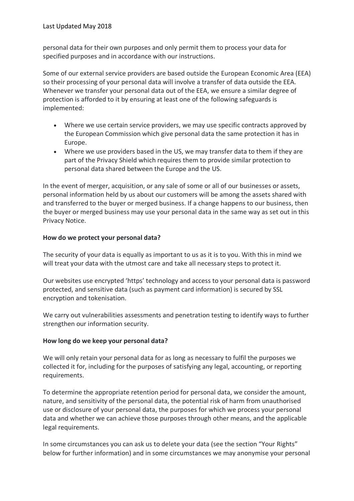personal data for their own purposes and only permit them to process your data for specified purposes and in accordance with our instructions.

Some of our external service providers are based outside the European Economic Area (EEA) so their processing of your personal data will involve a transfer of data outside the EEA. Whenever we transfer your personal data out of the EEA, we ensure a similar degree of protection is afforded to it by ensuring at least one of the following safeguards is implemented:

- Where we use certain service providers, we may use specific contracts approved by the European Commission which give personal data the same protection it has in Europe.
- Where we use providers based in the US, we may transfer data to them if they are part of the Privacy Shield which requires them to provide similar protection to personal data shared between the Europe and the US.

In the event of merger, acquisition, or any sale of some or all of our businesses or assets, personal information held by us about our customers will be among the assets shared with and transferred to the buyer or merged business. If a change happens to our business, then the buyer or merged business may use your personal data in the same way as set out in this Privacy Notice.

# **How do we protect your personal data?**

The security of your data is equally as important to us as it is to you. With this in mind we will treat your data with the utmost care and take all necessary steps to protect it.

Our websites use encrypted 'https' technology and access to your personal data is password protected, and sensitive data (such as payment card information) is secured by SSL encryption and tokenisation.

We carry out vulnerabilities assessments and penetration testing to identify ways to further strengthen our information security.

### **How long do we keep your personal data?**

We will only retain your personal data for as long as necessary to fulfil the purposes we collected it for, including for the purposes of satisfying any legal, accounting, or reporting requirements.

To determine the appropriate retention period for personal data, we consider the amount, nature, and sensitivity of the personal data, the potential risk of harm from unauthorised use or disclosure of your personal data, the purposes for which we process your personal data and whether we can achieve those purposes through other means, and the applicable legal requirements.

In some circumstances you can ask us to delete your data (see the section "Your Rights" below for further information) and in some circumstances we may anonymise your personal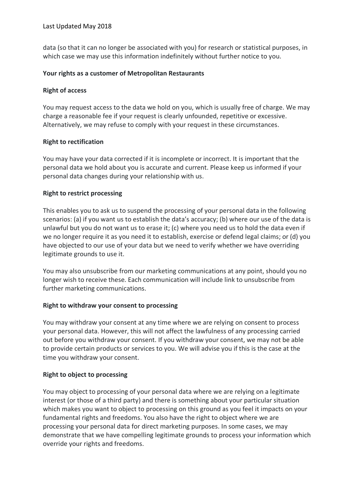data (so that it can no longer be associated with you) for research or statistical purposes, in which case we may use this information indefinitely without further notice to you.

### **Your rights as a customer of Metropolitan Restaurants**

# **Right of access**

You may request access to the data we hold on you, which is usually free of charge. We may charge a reasonable fee if your request is clearly unfounded, repetitive or excessive. Alternatively, we may refuse to comply with your request in these circumstances.

# **Right to rectification**

You may have your data corrected if it is incomplete or incorrect. It is important that the personal data we hold about you is accurate and current. Please keep us informed if your personal data changes during your relationship with us.

# **Right to restrict processing**

This enables you to ask us to suspend the processing of your personal data in the following scenarios: (a) if you want us to establish the data's accuracy; (b) where our use of the data is unlawful but you do not want us to erase it; (c) where you need us to hold the data even if we no longer require it as you need it to establish, exercise or defend legal claims; or (d) you have objected to our use of your data but we need to verify whether we have overriding legitimate grounds to use it.

You may also unsubscribe from our marketing communications at any point, should you no longer wish to receive these. Each communication will include link to unsubscribe from further marketing communications.

# **Right to withdraw your consent to processing**

You may withdraw your consent at any time where we are relying on consent to process your personal data. However, this will not affect the lawfulness of any processing carried out before you withdraw your consent. If you withdraw your consent, we may not be able to provide certain products or services to you. We will advise you if this is the case at the time you withdraw your consent.

# **Right to object to processing**

You may object to processing of your personal data where we are relying on a legitimate interest (or those of a third party) and there is something about your particular situation which makes you want to object to processing on this ground as you feel it impacts on your fundamental rights and freedoms. You also have the right to object where we are processing your personal data for direct marketing purposes. In some cases, we may demonstrate that we have compelling legitimate grounds to process your information which override your rights and freedoms.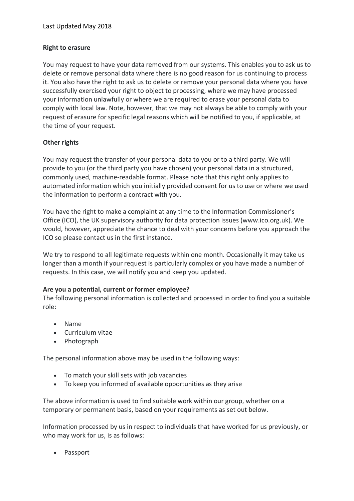### **Right to erasure**

You may request to have your data removed from our systems. This enables you to ask us to delete or remove personal data where there is no good reason for us continuing to process it. You also have the right to ask us to delete or remove your personal data where you have successfully exercised your right to object to processing, where we may have processed your information unlawfully or where we are required to erase your personal data to comply with local law. Note, however, that we may not always be able to comply with your request of erasure for specific legal reasons which will be notified to you, if applicable, at the time of your request.

# **Other rights**

You may request the transfer of your personal data to you or to a third party. We will provide to you (or the third party you have chosen) your personal data in a structured, commonly used, machine-readable format. Please note that this right only applies to automated information which you initially provided consent for us to use or where we used the information to perform a contract with you.

You have the right to make a complaint at any time to the Information Commissioner's Office (ICO), the UK supervisory authority for data protection issues (www.ico.org.uk). We would, however, appreciate the chance to deal with your concerns before you approach the ICO so please contact us in the first instance.

We try to respond to all legitimate requests within one month. Occasionally it may take us longer than a month if your request is particularly complex or you have made a number of requests. In this case, we will notify you and keep you updated.

### **Are you a potential, current or former employee?**

The following personal information is collected and processed in order to find you a suitable role:

- Name
- Curriculum vitae
- Photograph

The personal information above may be used in the following ways:

- To match your skill sets with job vacancies
- To keep you informed of available opportunities as they arise

The above information is used to find suitable work within our group, whether on a temporary or permanent basis, based on your requirements as set out below.

Information processed by us in respect to individuals that have worked for us previously, or who may work for us, is as follows:

• Passport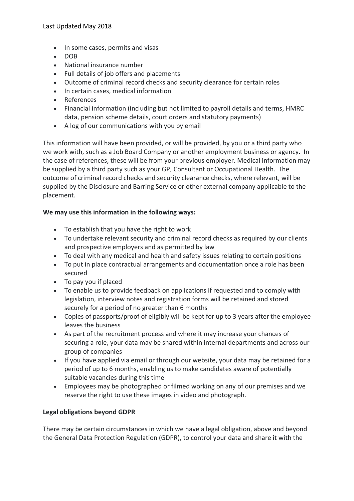- In some cases, permits and visas
- DOB
- National insurance number
- Full details of job offers and placements
- Outcome of criminal record checks and security clearance for certain roles
- In certain cases, medical information
- References
- Financial information (including but not limited to payroll details and terms, HMRC data, pension scheme details, court orders and statutory payments)
- A log of our communications with you by email

This information will have been provided, or will be provided, by you or a third party who we work with, such as a Job Board Company or another employment business or agency. In the case of references, these will be from your previous employer. Medical information may be supplied by a third party such as your GP, Consultant or Occupational Health. The outcome of criminal record checks and security clearance checks, where relevant, will be supplied by the Disclosure and Barring Service or other external company applicable to the placement.

### **We may use this information in the following ways:**

- To establish that you have the right to work
- To undertake relevant security and criminal record checks as required by our clients and prospective employers and as permitted by law
- To deal with any medical and health and safety issues relating to certain positions
- To put in place contractual arrangements and documentation once a role has been secured
- To pay you if placed
- To enable us to provide feedback on applications if requested and to comply with legislation, interview notes and registration forms will be retained and stored securely for a period of no greater than 6 months
- Copies of passports/proof of eligibly will be kept for up to 3 years after the employee leaves the business
- As part of the recruitment process and where it may increase your chances of securing a role, your data may be shared within internal departments and across our group of companies
- If you have applied via email or through our website, your data may be retained for a period of up to 6 months, enabling us to make candidates aware of potentially suitable vacancies during this time
- Employees may be photographed or filmed working on any of our premises and we reserve the right to use these images in video and photograph.

### **Legal obligations beyond GDPR**

There may be certain circumstances in which we have a legal obligation, above and beyond the General Data Protection Regulation (GDPR), to control your data and share it with the